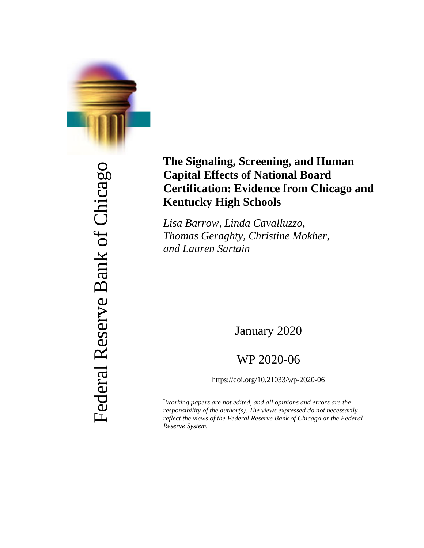

Federal Reserve Bank of Chicago Federal Reserve Bank of Chicago

# **The Signaling, Screening, and Human Capital Effects of National Board Certification: Evidence from Chicago and Kentucky High Schools**

*Lisa Barrow, Linda Cavalluzzo, Thomas Geraghty, Christine Mokher, and Lauren Sartain*

January 2020

# WP 2020-06

https://doi.org/10.21033/wp-2020-06

\* *Working papers are not edited, and all opinions and errors are the responsibility of the author(s). The views expressed do not necessarily reflect the views of the Federal Reserve Bank of Chicago or the Federal Reserve System.*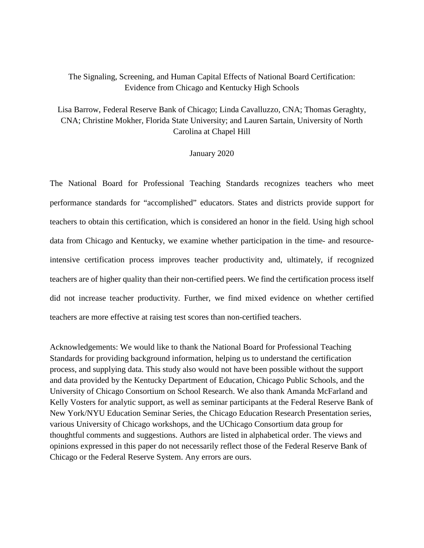# The Signaling, Screening, and Human Capital Effects of National Board Certification: Evidence from Chicago and Kentucky High Schools

# Lisa Barrow, Federal Reserve Bank of Chicago; Linda Cavalluzzo, CNA; Thomas Geraghty, CNA; Christine Mokher, Florida State University; and Lauren Sartain, University of North Carolina at Chapel Hill

# January 2020

The National Board for Professional Teaching Standards recognizes teachers who meet performance standards for "accomplished" educators. States and districts provide support for teachers to obtain this certification, which is considered an honor in the field. Using high school data from Chicago and Kentucky, we examine whether participation in the time- and resourceintensive certification process improves teacher productivity and, ultimately, if recognized teachers are of higher quality than their non-certified peers. We find the certification process itself did not increase teacher productivity. Further, we find mixed evidence on whether certified teachers are more effective at raising test scores than non-certified teachers.

Acknowledgements: We would like to thank the National Board for Professional Teaching Standards for providing background information, helping us to understand the certification process, and supplying data. This study also would not have been possible without the support and data provided by the Kentucky Department of Education, Chicago Public Schools, and the University of Chicago Consortium on School Research. We also thank Amanda McFarland and Kelly Vosters for analytic support, as well as seminar participants at the Federal Reserve Bank of New York/NYU Education Seminar Series, the Chicago Education Research Presentation series, various University of Chicago workshops, and the UChicago Consortium data group for thoughtful comments and suggestions. Authors are listed in alphabetical order. The views and opinions expressed in this paper do not necessarily reflect those of the Federal Reserve Bank of Chicago or the Federal Reserve System. Any errors are ours.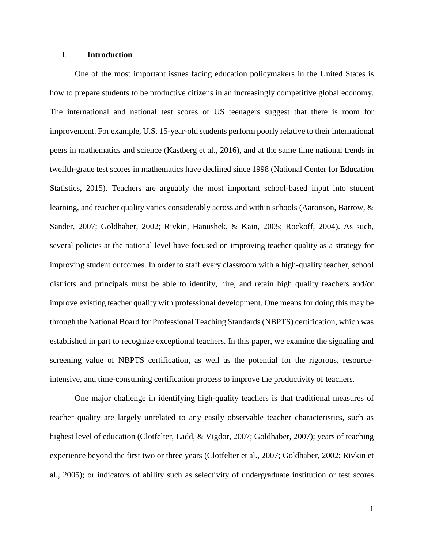# I. **Introduction**

One of the most important issues facing education policymakers in the United States is how to prepare students to be productive citizens in an increasingly competitive global economy. The international and national test scores of US teenagers suggest that there is room for improvement. For example, U.S. 15-year-old students perform poorly relative to their international peers in mathematics and science (Kastberg et al., 2016), and at the same time national trends in twelfth-grade test scores in mathematics have declined since 1998 (National Center for Education Statistics, 2015). Teachers are arguably the most important school-based input into student learning, and teacher quality varies considerably across and within schools (Aaronson, Barrow, & Sander, 2007; Goldhaber, 2002; Rivkin, Hanushek, & Kain, 2005; Rockoff, 2004). As such, several policies at the national level have focused on improving teacher quality as a strategy for improving student outcomes. In order to staff every classroom with a high-quality teacher, school districts and principals must be able to identify, hire, and retain high quality teachers and/or improve existing teacher quality with professional development. One means for doing this may be through the National Board for Professional Teaching Standards (NBPTS) certification, which was established in part to recognize exceptional teachers. In this paper, we examine the signaling and screening value of NBPTS certification, as well as the potential for the rigorous, resourceintensive, and time-consuming certification process to improve the productivity of teachers.

One major challenge in identifying high-quality teachers is that traditional measures of teacher quality are largely unrelated to any easily observable teacher characteristics, such as highest level of education (Clotfelter, Ladd, & Vigdor, 2007; Goldhaber, 2007); years of teaching experience beyond the first two or three years (Clotfelter et al., 2007; Goldhaber, 2002; Rivkin et al., 2005); or indicators of ability such as selectivity of undergraduate institution or test scores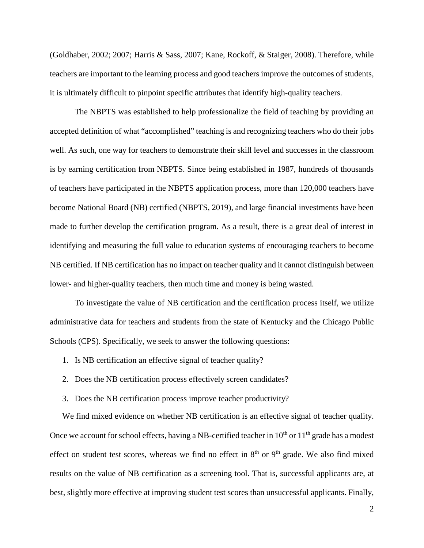(Goldhaber, 2002; 2007; Harris & Sass, 2007; Kane, Rockoff, & Staiger, 2008). Therefore, while teachers are important to the learning process and good teachers improve the outcomes of students, it is ultimately difficult to pinpoint specific attributes that identify high-quality teachers.

The NBPTS was established to help professionalize the field of teaching by providing an accepted definition of what "accomplished" teaching is and recognizing teachers who do their jobs well. As such, one way for teachers to demonstrate their skill level and successes in the classroom is by earning certification from NBPTS. Since being established in 1987, hundreds of thousands of teachers have participated in the NBPTS application process, more than 120,000 teachers have become National Board (NB) certified (NBPTS, 2019), and large financial investments have been made to further develop the certification program. As a result, there is a great deal of interest in identifying and measuring the full value to education systems of encouraging teachers to become NB certified. If NB certification has no impact on teacher quality and it cannot distinguish between lower- and higher-quality teachers, then much time and money is being wasted.

To investigate the value of NB certification and the certification process itself, we utilize administrative data for teachers and students from the state of Kentucky and the Chicago Public Schools (CPS). Specifically, we seek to answer the following questions:

- 1. Is NB certification an effective signal of teacher quality?
- 2. Does the NB certification process effectively screen candidates?
- 3. Does the NB certification process improve teacher productivity?

We find mixed evidence on whether NB certification is an effective signal of teacher quality. Once we account for school effects, having a NB-certified teacher in  $10<sup>th</sup>$  or  $11<sup>th</sup>$  grade has a modest effect on student test scores, whereas we find no effect in  $8<sup>th</sup>$  or  $9<sup>th</sup>$  grade. We also find mixed results on the value of NB certification as a screening tool. That is, successful applicants are, at best, slightly more effective at improving student test scores than unsuccessful applicants. Finally,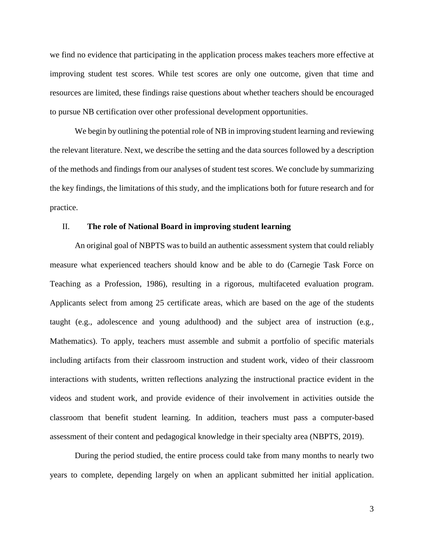we find no evidence that participating in the application process makes teachers more effective at improving student test scores. While test scores are only one outcome, given that time and resources are limited, these findings raise questions about whether teachers should be encouraged to pursue NB certification over other professional development opportunities.

We begin by outlining the potential role of NB in improving student learning and reviewing the relevant literature. Next, we describe the setting and the data sources followed by a description of the methods and findings from our analyses of student test scores. We conclude by summarizing the key findings, the limitations of this study, and the implications both for future research and for practice.

# II. **The role of National Board in improving student learning**

An original goal of NBPTS was to build an authentic assessment system that could reliably measure what experienced teachers should know and be able to do (Carnegie Task Force on Teaching as a Profession, 1986), resulting in a rigorous, multifaceted evaluation program. Applicants select from among 25 certificate areas, which are based on the age of the students taught (e.g., adolescence and young adulthood) and the subject area of instruction (e.g., Mathematics). To apply, teachers must assemble and submit a portfolio of specific materials including artifacts from their classroom instruction and student work, video of their classroom interactions with students, written reflections analyzing the instructional practice evident in the videos and student work, and provide evidence of their involvement in activities outside the classroom that benefit student learning. In addition, teachers must pass a computer-based assessment of their content and pedagogical knowledge in their specialty area (NBPTS, 2019).

During the period studied, the entire process could take from many months to nearly two years to complete, depending largely on when an applicant submitted her initial application.

3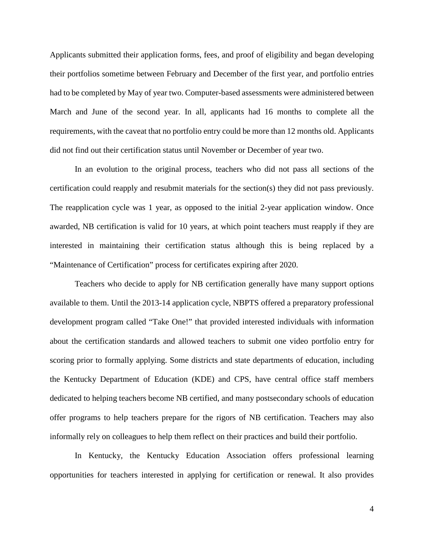Applicants submitted their application forms, fees, and proof of eligibility and began developing their portfolios sometime between February and December of the first year, and portfolio entries had to be completed by May of year two. Computer-based assessments were administered between March and June of the second year. In all, applicants had 16 months to complete all the requirements, with the caveat that no portfolio entry could be more than 12 months old. Applicants did not find out their certification status until November or December of year two.

In an evolution to the original process, teachers who did not pass all sections of the certification could reapply and resubmit materials for the section(s) they did not pass previously. The reapplication cycle was 1 year, as opposed to the initial 2-year application window. Once awarded, NB certification is valid for 10 years, at which point teachers must reapply if they are interested in maintaining their certification status although this is being replaced by a "Maintenance of Certification" process for certificates expiring after 2020.

Teachers who decide to apply for NB certification generally have many support options available to them. Until the 2013-14 application cycle, NBPTS offered a preparatory professional development program called "Take One!" that provided interested individuals with information about the certification standards and allowed teachers to submit one video portfolio entry for scoring prior to formally applying. Some districts and state departments of education, including the Kentucky Department of Education (KDE) and CPS, have central office staff members dedicated to helping teachers become NB certified, and many postsecondary schools of education offer programs to help teachers prepare for the rigors of NB certification. Teachers may also informally rely on colleagues to help them reflect on their practices and build their portfolio.

In Kentucky, the Kentucky Education Association offers professional learning opportunities for teachers interested in applying for certification or renewal. It also provides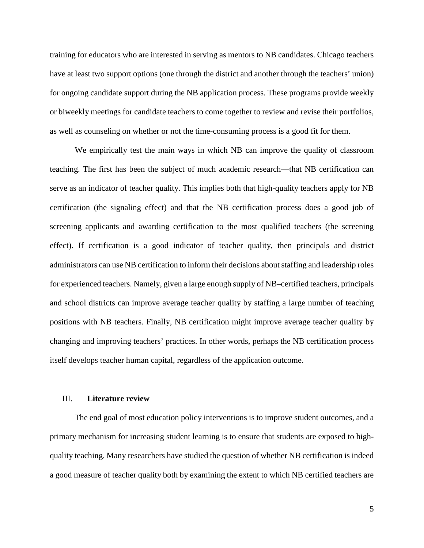training for educators who are interested in serving as mentors to NB candidates. Chicago teachers have at least two support options (one through the district and another through the teachers' union) for ongoing candidate support during the NB application process. These programs provide weekly or biweekly meetings for candidate teachers to come together to review and revise their portfolios, as well as counseling on whether or not the time-consuming process is a good fit for them.

We empirically test the main ways in which NB can improve the quality of classroom teaching. The first has been the subject of much academic research—that NB certification can serve as an indicator of teacher quality. This implies both that high-quality teachers apply for NB certification (the signaling effect) and that the NB certification process does a good job of screening applicants and awarding certification to the most qualified teachers (the screening effect). If certification is a good indicator of teacher quality, then principals and district administrators can use NB certification to inform their decisions about staffing and leadership roles for experienced teachers. Namely, given a large enough supply of NB–certified teachers, principals and school districts can improve average teacher quality by staffing a large number of teaching positions with NB teachers. Finally, NB certification might improve average teacher quality by changing and improving teachers' practices. In other words, perhaps the NB certification process itself develops teacher human capital, regardless of the application outcome.

## III. **Literature review**

The end goal of most education policy interventions is to improve student outcomes, and a primary mechanism for increasing student learning is to ensure that students are exposed to highquality teaching. Many researchers have studied the question of whether NB certification is indeed a good measure of teacher quality both by examining the extent to which NB certified teachers are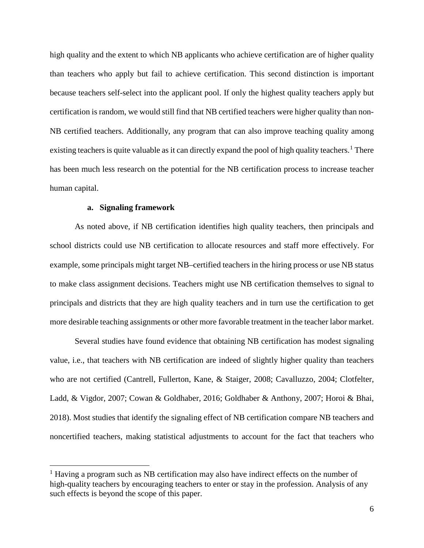high quality and the extent to which NB applicants who achieve certification are of higher quality than teachers who apply but fail to achieve certification. This second distinction is important because teachers self-select into the applicant pool. If only the highest quality teachers apply but certification is random, we would still find that NB certified teachers were higher quality than non-NB certified teachers. Additionally, any program that can also improve teaching quality among existing teachers is quite valuable as it can directly expand the pool of high quality teachers.<sup>[1](#page-7-0)</sup> There has been much less research on the potential for the NB certification process to increase teacher human capital.

# **a. Signaling framework**

As noted above, if NB certification identifies high quality teachers, then principals and school districts could use NB certification to allocate resources and staff more effectively. For example, some principals might target NB–certified teachers in the hiring process or use NB status to make class assignment decisions. Teachers might use NB certification themselves to signal to principals and districts that they are high quality teachers and in turn use the certification to get more desirable teaching assignments or other more favorable treatment in the teacher labor market.

Several studies have found evidence that obtaining NB certification has modest signaling value, i.e., that teachers with NB certification are indeed of slightly higher quality than teachers who are not certified (Cantrell, Fullerton, Kane, & Staiger, 2008; Cavalluzzo, 2004; Clotfelter, Ladd, & Vigdor, 2007; Cowan & Goldhaber, 2016; Goldhaber & Anthony, 2007; Horoi & Bhai, 2018). Most studies that identify the signaling effect of NB certification compare NB teachers and noncertified teachers, making statistical adjustments to account for the fact that teachers who

<span id="page-7-0"></span> $<sup>1</sup>$  Having a program such as NB certification may also have indirect effects on the number of</sup> high-quality teachers by encouraging teachers to enter or stay in the profession. Analysis of any such effects is beyond the scope of this paper.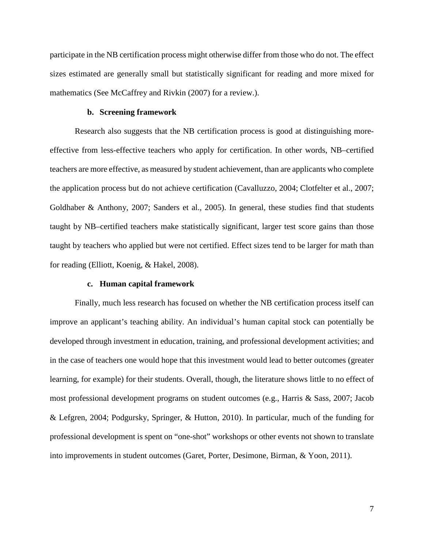participate in the NB certification process might otherwise differ from those who do not. The effect sizes estimated are generally small but statistically significant for reading and more mixed for mathematics (See McCaffrey and Rivkin (2007) for a review.).

# **b. Screening framework**

Research also suggests that the NB certification process is good at distinguishing moreeffective from less-effective teachers who apply for certification. In other words, NB–certified teachers are more effective, as measured by student achievement, than are applicants who complete the application process but do not achieve certification (Cavalluzzo, 2004; Clotfelter et al., 2007; Goldhaber & Anthony, 2007; Sanders et al., 2005). In general, these studies find that students taught by NB–certified teachers make statistically significant, larger test score gains than those taught by teachers who applied but were not certified. Effect sizes tend to be larger for math than for reading (Elliott, Koenig, & Hakel, 2008).

# **c. Human capital framework**

Finally, much less research has focused on whether the NB certification process itself can improve an applicant's teaching ability. An individual's human capital stock can potentially be developed through investment in education, training, and professional development activities; and in the case of teachers one would hope that this investment would lead to better outcomes (greater learning, for example) for their students. Overall, though, the literature shows little to no effect of most professional development programs on student outcomes (e.g., Harris & Sass, 2007; Jacob & Lefgren, 2004; Podgursky, Springer, & Hutton, 2010). In particular, much of the funding for professional development is spent on "one-shot" workshops or other events not shown to translate into improvements in student outcomes (Garet, Porter, Desimone, Birman, & Yoon, 2011).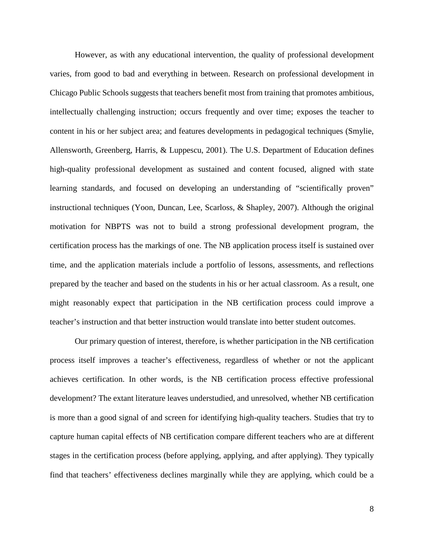However, as with any educational intervention, the quality of professional development varies, from good to bad and everything in between. Research on professional development in Chicago Public Schools suggests that teachers benefit most from training that promotes ambitious, intellectually challenging instruction; occurs frequently and over time; exposes the teacher to content in his or her subject area; and features developments in pedagogical techniques (Smylie, Allensworth, Greenberg, Harris, & Luppescu, 2001). The U.S. Department of Education defines high-quality professional development as sustained and content focused, aligned with state learning standards, and focused on developing an understanding of "scientifically proven" instructional techniques (Yoon, Duncan, Lee, Scarloss, & Shapley, 2007). Although the original motivation for NBPTS was not to build a strong professional development program, the certification process has the markings of one. The NB application process itself is sustained over time, and the application materials include a portfolio of lessons, assessments, and reflections prepared by the teacher and based on the students in his or her actual classroom. As a result, one might reasonably expect that participation in the NB certification process could improve a teacher's instruction and that better instruction would translate into better student outcomes.

Our primary question of interest, therefore, is whether participation in the NB certification process itself improves a teacher's effectiveness, regardless of whether or not the applicant achieves certification. In other words, is the NB certification process effective professional development? The extant literature leaves understudied, and unresolved, whether NB certification is more than a good signal of and screen for identifying high-quality teachers. Studies that try to capture human capital effects of NB certification compare different teachers who are at different stages in the certification process (before applying, applying, and after applying). They typically find that teachers' effectiveness declines marginally while they are applying, which could be a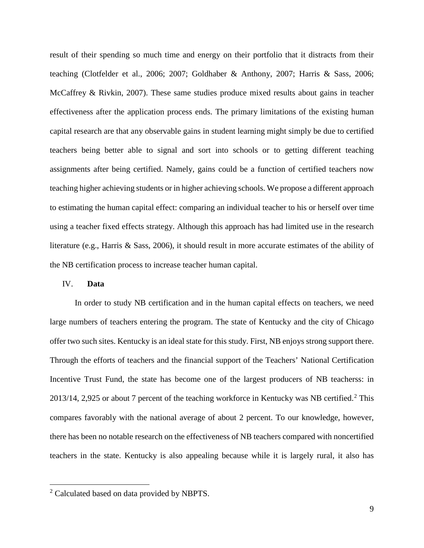result of their spending so much time and energy on their portfolio that it distracts from their teaching (Clotfelder et al., 2006; 2007; Goldhaber & Anthony, 2007; Harris & Sass, 2006; McCaffrey & Rivkin, 2007). These same studies produce mixed results about gains in teacher effectiveness after the application process ends. The primary limitations of the existing human capital research are that any observable gains in student learning might simply be due to certified teachers being better able to signal and sort into schools or to getting different teaching assignments after being certified. Namely, gains could be a function of certified teachers now teaching higher achieving students or in higher achieving schools. We propose a different approach to estimating the human capital effect: comparing an individual teacher to his or herself over time using a teacher fixed effects strategy. Although this approach has had limited use in the research literature (e.g., Harris & Sass, 2006), it should result in more accurate estimates of the ability of the NB certification process to increase teacher human capital.

# IV. **Data**

In order to study NB certification and in the human capital effects on teachers, we need large numbers of teachers entering the program. The state of Kentucky and the city of Chicago offer two such sites. Kentucky is an ideal state for this study. First, NB enjoys strong support there. Through the efforts of teachers and the financial support of the Teachers' National Certification Incentive Trust Fund, the state has become one of the largest producers of NB teacherss: in [2](#page-10-0)013/14, 2,925 or about 7 percent of the teaching workforce in Kentucky was NB certified.<sup>2</sup> This compares favorably with the national average of about 2 percent. To our knowledge, however, there has been no notable research on the effectiveness of NB teachers compared with noncertified teachers in the state. Kentucky is also appealing because while it is largely rural, it also has

<span id="page-10-0"></span> <sup>2</sup> Calculated based on data provided by NBPTS.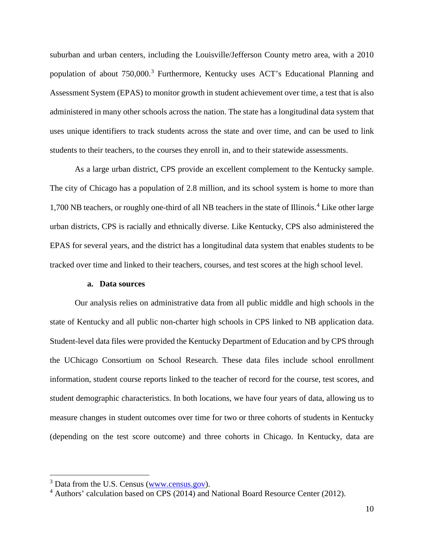suburban and urban centers, including the Louisville/Jefferson County metro area, with a 2010 population of about 750,000.<sup>[3](#page-11-0)</sup> Furthermore, Kentucky uses ACT's Educational Planning and Assessment System (EPAS) to monitor growth in student achievement over time, a test that is also administered in many other schools across the nation. The state has a longitudinal data system that uses unique identifiers to track students across the state and over time, and can be used to link students to their teachers, to the courses they enroll in, and to their statewide assessments.

As a large urban district, CPS provide an excellent complement to the Kentucky sample. The city of Chicago has a population of 2.8 million, and its school system is home to more than 1,700 NB teachers, or roughly one-third of all NB teachers in the state of Illinois.[4](#page-11-1) Like other large urban districts, CPS is racially and ethnically diverse. Like Kentucky, CPS also administered the EPAS for several years, and the district has a longitudinal data system that enables students to be tracked over time and linked to their teachers, courses, and test scores at the high school level.

# **a. Data sources**

Our analysis relies on administrative data from all public middle and high schools in the state of Kentucky and all public non-charter high schools in CPS linked to NB application data. Student-level data files were provided the Kentucky Department of Education and by CPS through the UChicago Consortium on School Research. These data files include school enrollment information, student course reports linked to the teacher of record for the course, test scores, and student demographic characteristics. In both locations, we have four years of data, allowing us to measure changes in student outcomes over time for two or three cohorts of students in Kentucky (depending on the test score outcome) and three cohorts in Chicago. In Kentucky, data are

<span id="page-11-0"></span><sup>&</sup>lt;sup>3</sup> Data from the U.S. Census [\(www.census.gov\)](http://www.census.gov/).

<span id="page-11-1"></span><sup>4</sup> Authors' calculation based on CPS (2014) and National Board Resource Center (2012).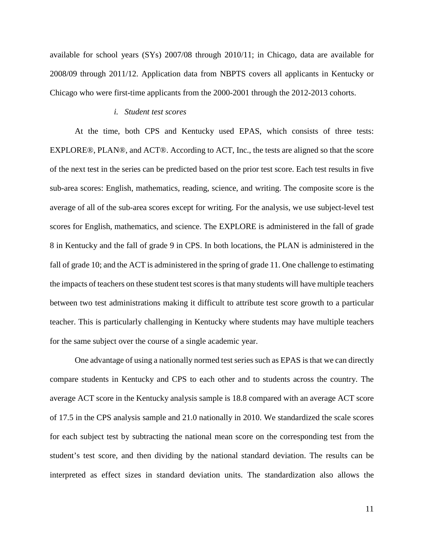available for school years (SYs) 2007/08 through 2010/11; in Chicago, data are available for 2008/09 through 2011/12. Application data from NBPTS covers all applicants in Kentucky or Chicago who were first-time applicants from the 2000-2001 through the 2012-2013 cohorts.

#### *i. Student test scores*

At the time, both CPS and Kentucky used EPAS, which consists of three tests: EXPLORE®, PLAN®, and ACT®. According to ACT, Inc., the tests are aligned so that the score of the next test in the series can be predicted based on the prior test score. Each test results in five sub-area scores: English, mathematics, reading, science, and writing. The composite score is the average of all of the sub-area scores except for writing. For the analysis, we use subject-level test scores for English, mathematics, and science. The EXPLORE is administered in the fall of grade 8 in Kentucky and the fall of grade 9 in CPS. In both locations, the PLAN is administered in the fall of grade 10; and the ACT is administered in the spring of grade 11. One challenge to estimating the impacts of teachers on these student test scores is that many students will have multiple teachers between two test administrations making it difficult to attribute test score growth to a particular teacher. This is particularly challenging in Kentucky where students may have multiple teachers for the same subject over the course of a single academic year.

One advantage of using a nationally normed test series such as EPAS is that we can directly compare students in Kentucky and CPS to each other and to students across the country. The average ACT score in the Kentucky analysis sample is 18.8 compared with an average ACT score of 17.5 in the CPS analysis sample and 21.0 nationally in 2010. We standardized the scale scores for each subject test by subtracting the national mean score on the corresponding test from the student's test score, and then dividing by the national standard deviation. The results can be interpreted as effect sizes in standard deviation units. The standardization also allows the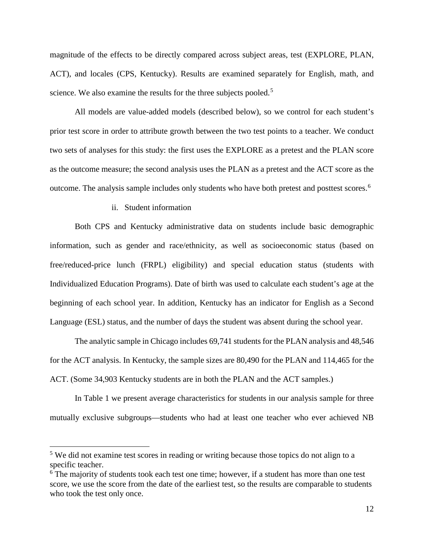magnitude of the effects to be directly compared across subject areas, test (EXPLORE, PLAN, ACT), and locales (CPS, Kentucky). Results are examined separately for English, math, and science. We also examine the results for the three subjects pooled.<sup>[5](#page-13-0)</sup>

All models are value-added models (described below), so we control for each student's prior test score in order to attribute growth between the two test points to a teacher. We conduct two sets of analyses for this study: the first uses the EXPLORE as a pretest and the PLAN score as the outcome measure; the second analysis uses the PLAN as a pretest and the ACT score as the outcome. The analysis sample includes only students who have both pretest and posttest scores.<sup>[6](#page-13-1)</sup>

# ii. Student information

Both CPS and Kentucky administrative data on students include basic demographic information, such as gender and race/ethnicity, as well as socioeconomic status (based on free/reduced-price lunch (FRPL) eligibility) and special education status (students with Individualized Education Programs). Date of birth was used to calculate each student's age at the beginning of each school year. In addition, Kentucky has an indicator for English as a Second Language (ESL) status, and the number of days the student was absent during the school year.

The analytic sample in Chicago includes 69,741 students for the PLAN analysis and 48,546 for the ACT analysis. In Kentucky, the sample sizes are 80,490 for the PLAN and 114,465 for the ACT. (Some 34,903 Kentucky students are in both the PLAN and the ACT samples.)

In Table 1 we present average characteristics for students in our analysis sample for three mutually exclusive subgroups—students who had at least one teacher who ever achieved NB

<span id="page-13-0"></span><sup>&</sup>lt;sup>5</sup> We did not examine test scores in reading or writing because those topics do not align to a specific teacher.

<span id="page-13-1"></span> $6$  The majority of students took each test one time; however, if a student has more than one test score, we use the score from the date of the earliest test, so the results are comparable to students who took the test only once.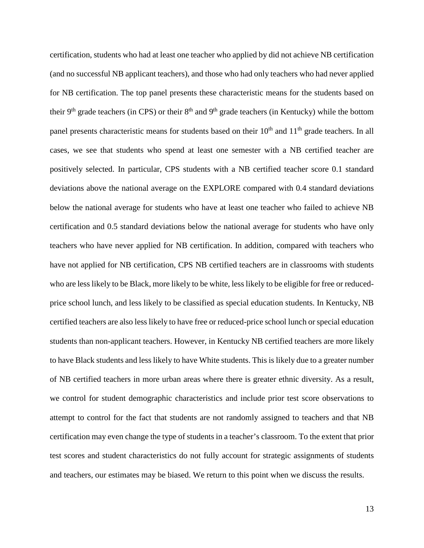certification, students who had at least one teacher who applied by did not achieve NB certification (and no successful NB applicant teachers), and those who had only teachers who had never applied for NB certification. The top panel presents these characteristic means for the students based on their 9<sup>th</sup> grade teachers (in CPS) or their  $8<sup>th</sup>$  and 9<sup>th</sup> grade teachers (in Kentucky) while the bottom panel presents characteristic means for students based on their  $10<sup>th</sup>$  and  $11<sup>th</sup>$  grade teachers. In all cases, we see that students who spend at least one semester with a NB certified teacher are positively selected. In particular, CPS students with a NB certified teacher score 0.1 standard deviations above the national average on the EXPLORE compared with 0.4 standard deviations below the national average for students who have at least one teacher who failed to achieve NB certification and 0.5 standard deviations below the national average for students who have only teachers who have never applied for NB certification. In addition, compared with teachers who have not applied for NB certification, CPS NB certified teachers are in classrooms with students who are less likely to be Black, more likely to be white, less likely to be eligible for free or reducedprice school lunch, and less likely to be classified as special education students. In Kentucky, NB certified teachers are also less likely to have free or reduced-price school lunch or special education students than non-applicant teachers. However, in Kentucky NB certified teachers are more likely to have Black students and less likely to have White students. This is likely due to a greater number of NB certified teachers in more urban areas where there is greater ethnic diversity. As a result, we control for student demographic characteristics and include prior test score observations to attempt to control for the fact that students are not randomly assigned to teachers and that NB certification may even change the type of students in a teacher's classroom. To the extent that prior test scores and student characteristics do not fully account for strategic assignments of students and teachers, our estimates may be biased. We return to this point when we discuss the results.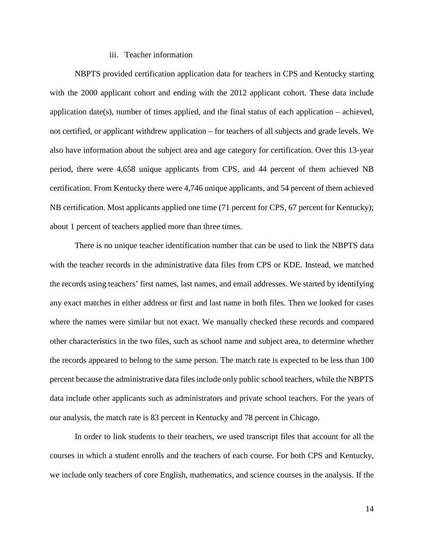# iii. Teacher information

NBPTS provided certification application data for teachers in CPS and Kentucky starting with the 2000 applicant cohort and ending with the 2012 applicant cohort. These data include application date(s), number of times applied, and the final status of each application – achieved, not certified, or applicant withdrew application – for teachers of all subjects and grade levels. We also have information about the subject area and age category for certification. Over this 13-year period, there were 4,658 unique applicants from CPS, and 44 percent of them achieved NB certification. From Kentucky there were 4,746 unique applicants, and 54 percent of them achieved NB certification. Most applicants applied one time (71 percent for CPS, 67 percent for Kentucky); about 1 percent of teachers applied more than three times.

There is no unique teacher identification number that can be used to link the NBPTS data with the teacher records in the administrative data files from CPS or KDE. Instead, we matched the records using teachers' first names, last names, and email addresses. We started by identifying any exact matches in either address or first and last name in both files. Then we looked for cases where the names were similar but not exact. We manually checked these records and compared other characteristics in the two files, such as school name and subject area, to determine whether the records appeared to belong to the same person. The match rate is expected to be less than 100 percent because the administrative data files include only public school teachers, while the NBPTS data include other applicants such as administrators and private school teachers. For the years of our analysis, the match rate is 83 percent in Kentucky and 78 percent in Chicago.

In order to link students to their teachers, we used transcript files that account for all the courses in which a student enrolls and the teachers of each course. For both CPS and Kentucky, we include only teachers of core English, mathematics, and science courses in the analysis. If the

14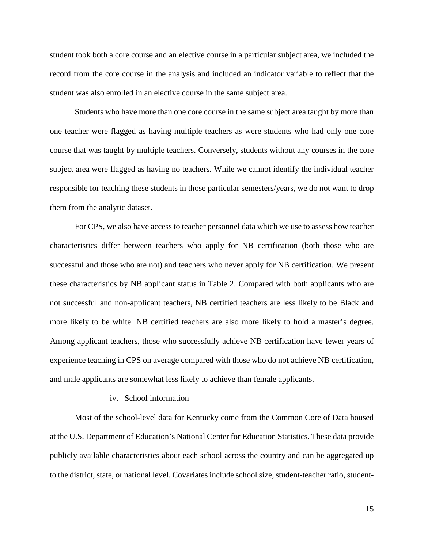student took both a core course and an elective course in a particular subject area, we included the record from the core course in the analysis and included an indicator variable to reflect that the student was also enrolled in an elective course in the same subject area.

Students who have more than one core course in the same subject area taught by more than one teacher were flagged as having multiple teachers as were students who had only one core course that was taught by multiple teachers. Conversely, students without any courses in the core subject area were flagged as having no teachers. While we cannot identify the individual teacher responsible for teaching these students in those particular semesters/years, we do not want to drop them from the analytic dataset.

For CPS, we also have access to teacher personnel data which we use to assess how teacher characteristics differ between teachers who apply for NB certification (both those who are successful and those who are not) and teachers who never apply for NB certification. We present these characteristics by NB applicant status in Table 2. Compared with both applicants who are not successful and non-applicant teachers, NB certified teachers are less likely to be Black and more likely to be white. NB certified teachers are also more likely to hold a master's degree. Among applicant teachers, those who successfully achieve NB certification have fewer years of experience teaching in CPS on average compared with those who do not achieve NB certification, and male applicants are somewhat less likely to achieve than female applicants.

## iv. School information

Most of the school-level data for Kentucky come from the Common Core of Data housed at the U.S. Department of Education's National Center for Education Statistics. These data provide publicly available characteristics about each school across the country and can be aggregated up to the district, state, or national level. Covariates include school size, student-teacher ratio, student-

15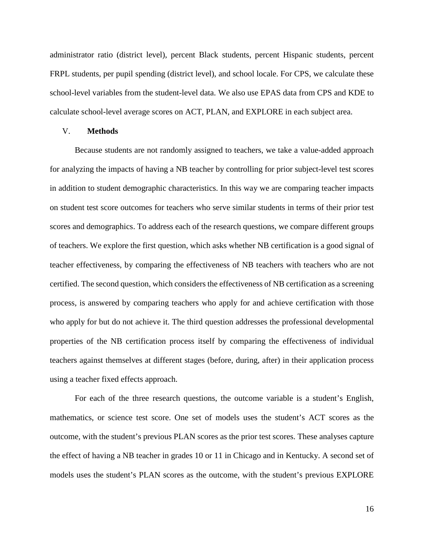administrator ratio (district level), percent Black students, percent Hispanic students, percent FRPL students, per pupil spending (district level), and school locale. For CPS, we calculate these school-level variables from the student-level data. We also use EPAS data from CPS and KDE to calculate school-level average scores on ACT, PLAN, and EXPLORE in each subject area.

## V. **Methods**

Because students are not randomly assigned to teachers, we take a value-added approach for analyzing the impacts of having a NB teacher by controlling for prior subject-level test scores in addition to student demographic characteristics. In this way we are comparing teacher impacts on student test score outcomes for teachers who serve similar students in terms of their prior test scores and demographics. To address each of the research questions, we compare different groups of teachers. We explore the first question, which asks whether NB certification is a good signal of teacher effectiveness, by comparing the effectiveness of NB teachers with teachers who are not certified. The second question, which considers the effectiveness of NB certification as a screening process, is answered by comparing teachers who apply for and achieve certification with those who apply for but do not achieve it. The third question addresses the professional developmental properties of the NB certification process itself by comparing the effectiveness of individual teachers against themselves at different stages (before, during, after) in their application process using a teacher fixed effects approach.

For each of the three research questions, the outcome variable is a student's English, mathematics, or science test score. One set of models uses the student's ACT scores as the outcome, with the student's previous PLAN scores as the prior test scores. These analyses capture the effect of having a NB teacher in grades 10 or 11 in Chicago and in Kentucky. A second set of models uses the student's PLAN scores as the outcome, with the student's previous EXPLORE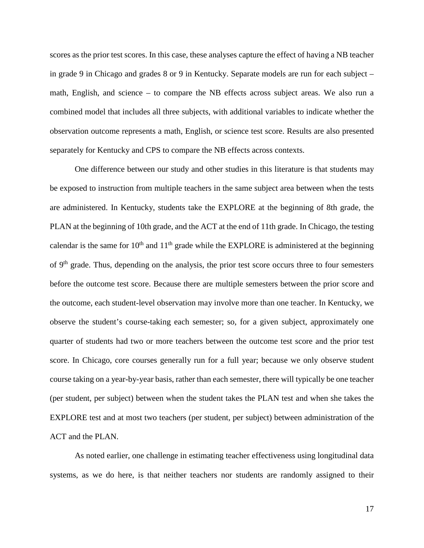scores as the prior test scores. In this case, these analyses capture the effect of having a NB teacher in grade 9 in Chicago and grades 8 or 9 in Kentucky. Separate models are run for each subject – math, English, and science – to compare the NB effects across subject areas. We also run a combined model that includes all three subjects, with additional variables to indicate whether the observation outcome represents a math, English, or science test score. Results are also presented separately for Kentucky and CPS to compare the NB effects across contexts.

One difference between our study and other studies in this literature is that students may be exposed to instruction from multiple teachers in the same subject area between when the tests are administered. In Kentucky, students take the EXPLORE at the beginning of 8th grade, the PLAN at the beginning of 10th grade, and the ACT at the end of 11th grade. In Chicago, the testing calendar is the same for  $10<sup>th</sup>$  and  $11<sup>th</sup>$  grade while the EXPLORE is administered at the beginning of 9<sup>th</sup> grade. Thus, depending on the analysis, the prior test score occurs three to four semesters before the outcome test score. Because there are multiple semesters between the prior score and the outcome, each student-level observation may involve more than one teacher. In Kentucky, we observe the student's course-taking each semester; so, for a given subject, approximately one quarter of students had two or more teachers between the outcome test score and the prior test score. In Chicago, core courses generally run for a full year; because we only observe student course taking on a year-by-year basis, rather than each semester, there will typically be one teacher (per student, per subject) between when the student takes the PLAN test and when she takes the EXPLORE test and at most two teachers (per student, per subject) between administration of the ACT and the PLAN.

As noted earlier, one challenge in estimating teacher effectiveness using longitudinal data systems, as we do here, is that neither teachers nor students are randomly assigned to their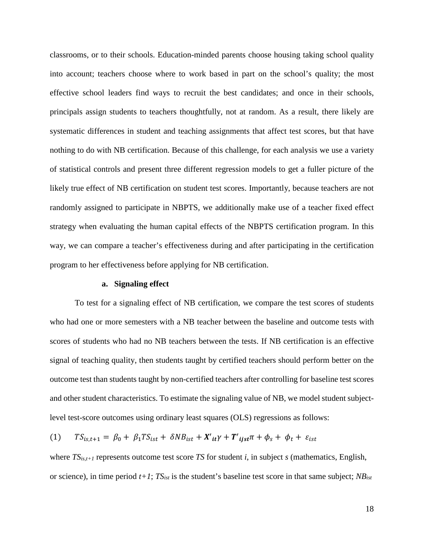classrooms, or to their schools. Education-minded parents choose housing taking school quality into account; teachers choose where to work based in part on the school's quality; the most effective school leaders find ways to recruit the best candidates; and once in their schools, principals assign students to teachers thoughtfully, not at random. As a result, there likely are systematic differences in student and teaching assignments that affect test scores, but that have nothing to do with NB certification. Because of this challenge, for each analysis we use a variety of statistical controls and present three different regression models to get a fuller picture of the likely true effect of NB certification on student test scores. Importantly, because teachers are not randomly assigned to participate in NBPTS, we additionally make use of a teacher fixed effect strategy when evaluating the human capital effects of the NBPTS certification program. In this way, we can compare a teacher's effectiveness during and after participating in the certification program to her effectiveness before applying for NB certification.

### **a. Signaling effect**

To test for a signaling effect of NB certification, we compare the test scores of students who had one or more semesters with a NB teacher between the baseline and outcome tests with scores of students who had no NB teachers between the tests. If NB certification is an effective signal of teaching quality, then students taught by certified teachers should perform better on the outcome test than students taught by non-certified teachers after controlling for baseline test scores and other student characteristics. To estimate the signaling value of NB, we model student subjectlevel test-score outcomes using ordinary least squares (OLS) regressions as follows:

(1) 
$$
TS_{is,t+1} = \beta_0 + \beta_1 TS_{ist} + \delta NB_{ist} + X'tt\gamma + T'tjst\pi + \phi_s + \phi_t + \varepsilon_{ist}
$$

where *TSis,t+1* represents outcome test score *TS* for student *i*, in subject *s* (mathematics, English, or science), in time period *t+1*; *TSist* is the student's baseline test score in that same subject; *NBist*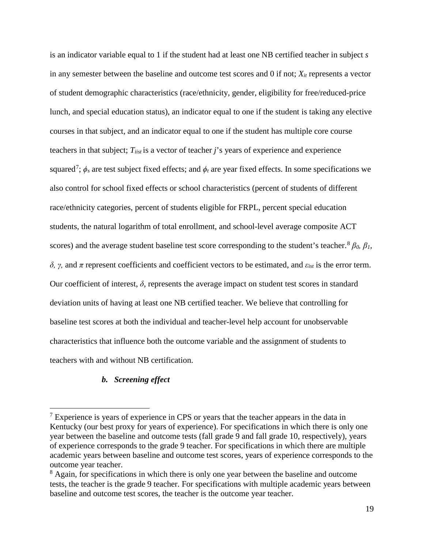is an indicator variable equal to 1 if the student had at least one NB certified teacher in subject *s* in any semester between the baseline and outcome test scores and 0 if not;  $X_{it}$  represents a vector of student demographic characteristics (race/ethnicity, gender, eligibility for free/reduced-price lunch, and special education status), an indicator equal to one if the student is taking any elective courses in that subject, and an indicator equal to one if the student has multiple core course teachers in that subject; *T<sub>iist</sub>* is a vector of teacher *j*'s years of experience and experience squared<sup>[7](#page-20-0)</sup>;  $\phi_s$  are test subject fixed effects; and  $\phi_t$  are year fixed effects. In some specifications we also control for school fixed effects or school characteristics (percent of students of different race/ethnicity categories, percent of students eligible for FRPL, percent special education students, the natural logarithm of total enrollment, and school-level average composite ACT scores) and the average student baseline test score corresponding to the student's teacher.<sup>[8](#page-20-1)</sup>  $\beta_0$ ,  $\beta_1$ , *δ*, *γ*, and *π* represent coefficients and coefficient vectors to be estimated, and  $ε_{ist}$  is the error term. Our coefficient of interest,  $\delta$ , represents the average impact on student test scores in standard deviation units of having at least one NB certified teacher. We believe that controlling for baseline test scores at both the individual and teacher-level help account for unobservable characteristics that influence both the outcome variable and the assignment of students to teachers with and without NB certification.

# *b. Screening effect*

<span id="page-20-0"></span> $<sup>7</sup>$  Experience is years of experience in CPS or years that the teacher appears in the data in</sup> Kentucky (our best proxy for years of experience). For specifications in which there is only one year between the baseline and outcome tests (fall grade 9 and fall grade 10, respectively), years of experience corresponds to the grade 9 teacher. For specifications in which there are multiple academic years between baseline and outcome test scores, years of experience corresponds to the outcome year teacher.

<span id="page-20-1"></span><sup>&</sup>lt;sup>8</sup> Again, for specifications in which there is only one year between the baseline and outcome tests, the teacher is the grade 9 teacher. For specifications with multiple academic years between baseline and outcome test scores, the teacher is the outcome year teacher.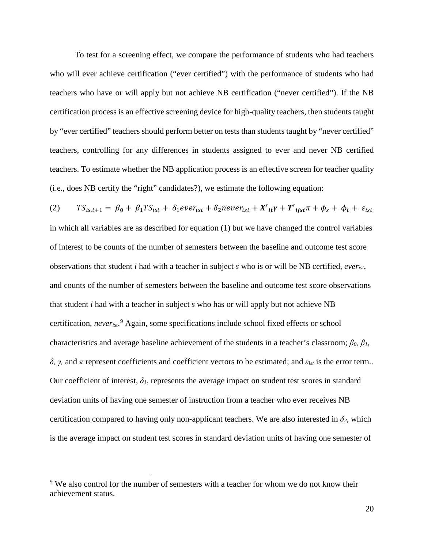To test for a screening effect, we compare the performance of students who had teachers who will ever achieve certification ("ever certified") with the performance of students who had teachers who have or will apply but not achieve NB certification ("never certified"). If the NB certification process is an effective screening device for high-quality teachers, then students taught by "ever certified" teachers should perform better on tests than students taught by "never certified" teachers, controlling for any differences in students assigned to ever and never NB certified teachers. To estimate whether the NB application process is an effective screen for teacher quality (i.e., does NB certify the "right" candidates?), we estimate the following equation:

(2)  $TS_{is,t+1} = \beta_0 + \beta_1 TS_{ist} + \delta_1 ever_{ist} + \delta_2 never_{ist} + X'_{it}\gamma + T'_{ijst}\pi + \phi_s + \phi_t + \varepsilon_{is}$ in which all variables are as described for equation (1) but we have changed the control variables of interest to be counts of the number of semesters between the baseline and outcome test score observations that student *i* had with a teacher in subject *s* who is or will be NB certified, *everist*, and counts of the number of semesters between the baseline and outcome test score observations that student *i* had with a teacher in subject *s* who has or will apply but not achieve NB certification, *neverist*. [9](#page-21-0) Again, some specifications include school fixed effects or school characteristics and average baseline achievement of the students in a teacher's classroom; *β0, β1, δ*, *γ*, and *π* represent coefficients and coefficient vectors to be estimated; and  $\varepsilon_{ist}$  is the error term.. Our coefficient of interest,  $\delta_l$ , represents the average impact on student test scores in standard deviation units of having one semester of instruction from a teacher who ever receives NB certification compared to having only non-applicant teachers. We are also interested in  $\delta_2$ , which is the average impact on student test scores in standard deviation units of having one semester of

<span id="page-21-0"></span><sup>&</sup>lt;sup>9</sup> We also control for the number of semesters with a teacher for whom we do not know their achievement status.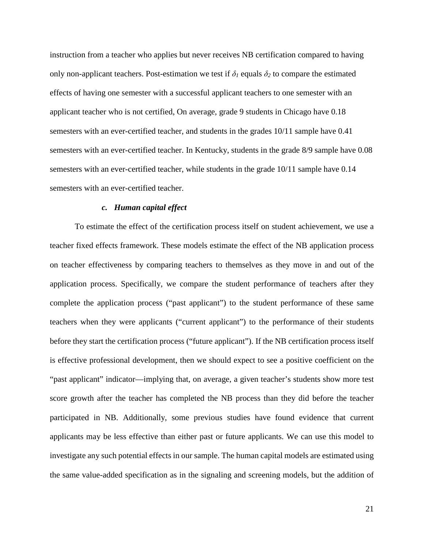instruction from a teacher who applies but never receives NB certification compared to having only non-applicant teachers. Post-estimation we test if  $\delta_l$  equals  $\delta_2$  to compare the estimated effects of having one semester with a successful applicant teachers to one semester with an applicant teacher who is not certified, On average, grade 9 students in Chicago have 0.18 semesters with an ever-certified teacher, and students in the grades 10/11 sample have 0.41 semesters with an ever-certified teacher. In Kentucky, students in the grade 8/9 sample have 0.08 semesters with an ever-certified teacher, while students in the grade 10/11 sample have 0.14 semesters with an ever-certified teacher.

# *c. Human capital effect*

To estimate the effect of the certification process itself on student achievement, we use a teacher fixed effects framework. These models estimate the effect of the NB application process on teacher effectiveness by comparing teachers to themselves as they move in and out of the application process. Specifically, we compare the student performance of teachers after they complete the application process ("past applicant") to the student performance of these same teachers when they were applicants ("current applicant") to the performance of their students before they start the certification process ("future applicant"). If the NB certification process itself is effective professional development, then we should expect to see a positive coefficient on the "past applicant" indicator—implying that, on average, a given teacher's students show more test score growth after the teacher has completed the NB process than they did before the teacher participated in NB. Additionally, some previous studies have found evidence that current applicants may be less effective than either past or future applicants. We can use this model to investigate any such potential effects in our sample. The human capital models are estimated using the same value-added specification as in the signaling and screening models, but the addition of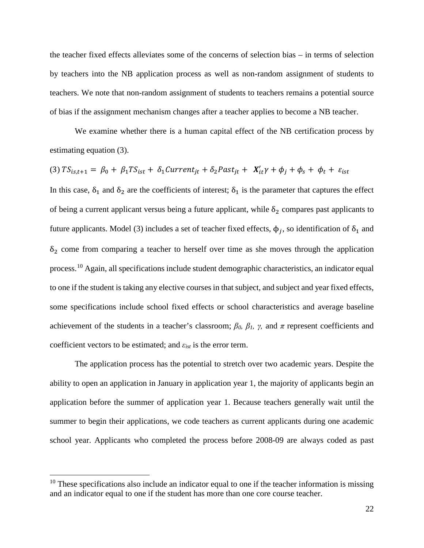the teacher fixed effects alleviates some of the concerns of selection bias – in terms of selection by teachers into the NB application process as well as non-random assignment of students to teachers. We note that non-random assignment of students to teachers remains a potential source of bias if the assignment mechanism changes after a teacher applies to become a NB teacher.

We examine whether there is a human capital effect of the NB certification process by estimating equation (3).

(3) 
$$
TS_{is,t+1} = \beta_0 + \beta_1 TS_{ist} + \delta_1 Current_{jt} + \delta_2 Past_{jt} + X'_{it}\gamma + \phi_j + \phi_s + \phi_t + \varepsilon_{ist}
$$

In this case,  $\delta_1$  and  $\delta_2$  are the coefficients of interest;  $\delta_1$  is the parameter that captures the effect of being a current applicant versus being a future applicant, while  $\delta_2$  compares past applicants to future applicants. Model (3) includes a set of teacher fixed effects,  $φ<sub>i</sub>$ , so identification of  $δ<sub>1</sub>$  and  $\delta_2$  come from comparing a teacher to herself over time as she moves through the application process.[10](#page-23-0) Again, all specifications include student demographic characteristics, an indicator equal to one if the student is taking any elective courses in that subject, and subject and year fixed effects, some specifications include school fixed effects or school characteristics and average baseline achievement of the students in a teacher's classroom;  $\beta_0$ ,  $\beta_1$ ,  $\gamma$ , and  $\pi$  represent coefficients and coefficient vectors to be estimated; and *εist* is the error term.

The application process has the potential to stretch over two academic years. Despite the ability to open an application in January in application year 1, the majority of applicants begin an application before the summer of application year 1. Because teachers generally wait until the summer to begin their applications, we code teachers as current applicants during one academic school year. Applicants who completed the process before 2008-09 are always coded as past

<span id="page-23-0"></span> $10$  These specifications also include an indicator equal to one if the teacher information is missing and an indicator equal to one if the student has more than one core course teacher.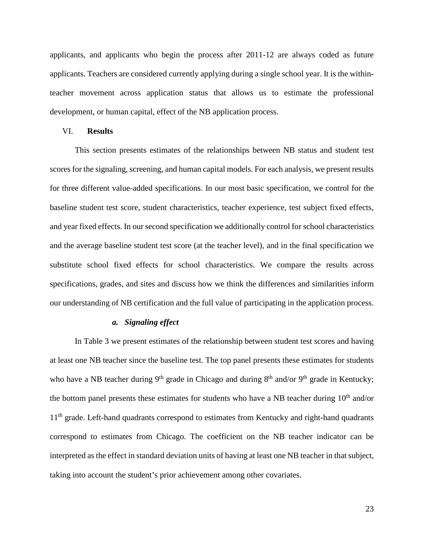applicants, and applicants who begin the process after 2011-12 are always coded as future applicants. Teachers are considered currently applying during a single school year. It is the withinteacher movement across application status that allows us to estimate the professional development, or human capital, effect of the NB application process.

# VI. **Results**

This section presents estimates of the relationships between NB status and student test scores for the signaling, screening, and human capital models. For each analysis, we present results for three different value-added specifications. In our most basic specification, we control for the baseline student test score, student characteristics, teacher experience, test subject fixed effects, and year fixed effects. In our second specification we additionally control for school characteristics and the average baseline student test score (at the teacher level), and in the final specification we substitute school fixed effects for school characteristics. We compare the results across specifications, grades, and sites and discuss how we think the differences and similarities inform our understanding of NB certification and the full value of participating in the application process.

# *a. Signaling effect*

In Table 3 we present estimates of the relationship between student test scores and having at least one NB teacher since the baseline test. The top panel presents these estimates for students who have a NB teacher during  $9<sup>th</sup>$  grade in Chicago and during  $8<sup>th</sup>$  and/or  $9<sup>th</sup>$  grade in Kentucky; the bottom panel presents these estimates for students who have a NB teacher during 10<sup>th</sup> and/or 11<sup>th</sup> grade. Left-hand quadrants correspond to estimates from Kentucky and right-hand quadrants correspond to estimates from Chicago. The coefficient on the NB teacher indicator can be interpreted as the effect in standard deviation units of having at least one NB teacher in that subject, taking into account the student's prior achievement among other covariates.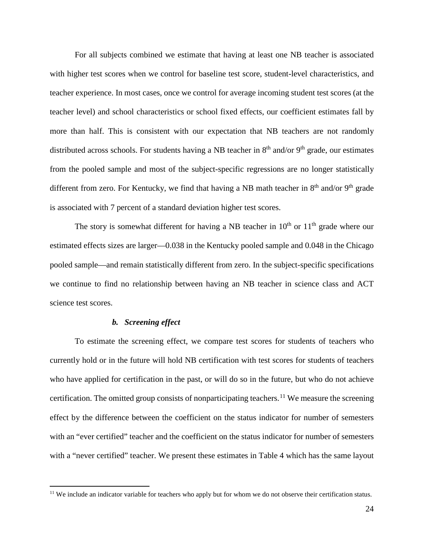For all subjects combined we estimate that having at least one NB teacher is associated with higher test scores when we control for baseline test score, student-level characteristics, and teacher experience. In most cases, once we control for average incoming student test scores (at the teacher level) and school characteristics or school fixed effects, our coefficient estimates fall by more than half. This is consistent with our expectation that NB teachers are not randomly distributed across schools. For students having a NB teacher in  $8<sup>th</sup>$  and/or  $9<sup>th</sup>$  grade, our estimates from the pooled sample and most of the subject-specific regressions are no longer statistically different from zero. For Kentucky, we find that having a NB math teacher in  $8<sup>th</sup>$  and/or  $9<sup>th</sup>$  grade is associated with 7 percent of a standard deviation higher test scores.

The story is somewhat different for having a NB teacher in  $10<sup>th</sup>$  or  $11<sup>th</sup>$  grade where our estimated effects sizes are larger—0.038 in the Kentucky pooled sample and 0.048 in the Chicago pooled sample—and remain statistically different from zero. In the subject-specific specifications we continue to find no relationship between having an NB teacher in science class and ACT science test scores.

# *b. Screening effect*

To estimate the screening effect, we compare test scores for students of teachers who currently hold or in the future will hold NB certification with test scores for students of teachers who have applied for certification in the past, or will do so in the future, but who do not achieve certification. The omitted group consists of nonparticipating teachers.<sup>[11](#page-25-0)</sup> We measure the screening effect by the difference between the coefficient on the status indicator for number of semesters with an "ever certified" teacher and the coefficient on the status indicator for number of semesters with a "never certified" teacher. We present these estimates in Table 4 which has the same layout

<span id="page-25-0"></span><sup>&</sup>lt;sup>11</sup> We include an indicator variable for teachers who apply but for whom we do not observe their certification status.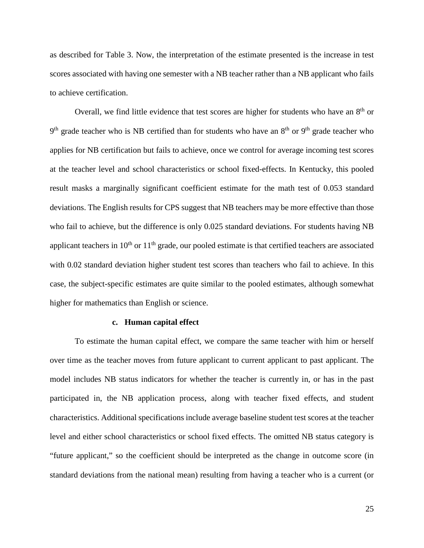as described for Table 3. Now, the interpretation of the estimate presented is the increase in test scores associated with having one semester with a NB teacher rather than a NB applicant who fails to achieve certification.

Overall, we find little evidence that test scores are higher for students who have an  $8<sup>th</sup>$  or  $9<sup>th</sup>$  grade teacher who is NB certified than for students who have an  $8<sup>th</sup>$  or  $9<sup>th</sup>$  grade teacher who applies for NB certification but fails to achieve, once we control for average incoming test scores at the teacher level and school characteristics or school fixed-effects. In Kentucky, this pooled result masks a marginally significant coefficient estimate for the math test of 0.053 standard deviations. The English results for CPS suggest that NB teachers may be more effective than those who fail to achieve, but the difference is only 0.025 standard deviations. For students having NB applicant teachers in  $10<sup>th</sup>$  or  $11<sup>th</sup>$  grade, our pooled estimate is that certified teachers are associated with 0.02 standard deviation higher student test scores than teachers who fail to achieve. In this case, the subject-specific estimates are quite similar to the pooled estimates, although somewhat higher for mathematics than English or science.

# **c. Human capital effect**

To estimate the human capital effect, we compare the same teacher with him or herself over time as the teacher moves from future applicant to current applicant to past applicant. The model includes NB status indicators for whether the teacher is currently in, or has in the past participated in, the NB application process, along with teacher fixed effects, and student characteristics. Additional specifications include average baseline student test scores at the teacher level and either school characteristics or school fixed effects. The omitted NB status category is "future applicant," so the coefficient should be interpreted as the change in outcome score (in standard deviations from the national mean) resulting from having a teacher who is a current (or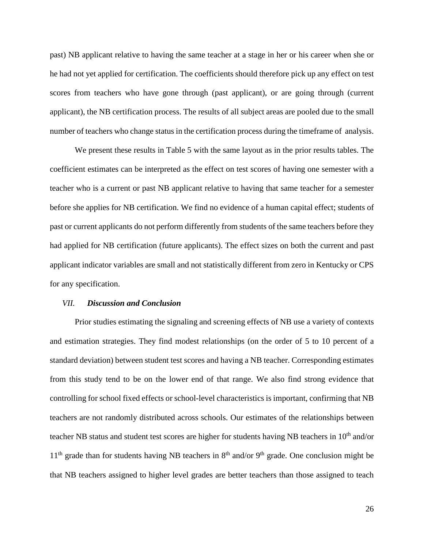past) NB applicant relative to having the same teacher at a stage in her or his career when she or he had not yet applied for certification. The coefficients should therefore pick up any effect on test scores from teachers who have gone through (past applicant), or are going through (current applicant), the NB certification process. The results of all subject areas are pooled due to the small number of teachers who change status in the certification process during the timeframe of analysis.

We present these results in Table 5 with the same layout as in the prior results tables. The coefficient estimates can be interpreted as the effect on test scores of having one semester with a teacher who is a current or past NB applicant relative to having that same teacher for a semester before she applies for NB certification. We find no evidence of a human capital effect; students of past or current applicants do not perform differently from students of the same teachers before they had applied for NB certification (future applicants). The effect sizes on both the current and past applicant indicator variables are small and not statistically different from zero in Kentucky or CPS for any specification.

## *VII. Discussion and Conclusion*

Prior studies estimating the signaling and screening effects of NB use a variety of contexts and estimation strategies. They find modest relationships (on the order of 5 to 10 percent of a standard deviation) between student test scores and having a NB teacher. Corresponding estimates from this study tend to be on the lower end of that range. We also find strong evidence that controlling for school fixed effects or school-level characteristics is important, confirming that NB teachers are not randomly distributed across schools. Our estimates of the relationships between teacher NB status and student test scores are higher for students having NB teachers in 10<sup>th</sup> and/or  $11<sup>th</sup>$  grade than for students having NB teachers in  $8<sup>th</sup>$  and/or  $9<sup>th</sup>$  grade. One conclusion might be that NB teachers assigned to higher level grades are better teachers than those assigned to teach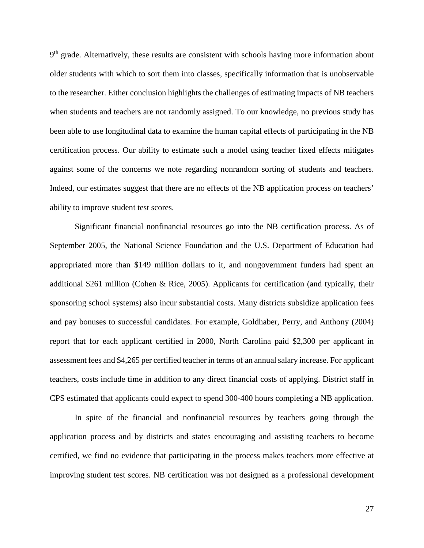$9<sup>th</sup>$  grade. Alternatively, these results are consistent with schools having more information about older students with which to sort them into classes, specifically information that is unobservable to the researcher. Either conclusion highlights the challenges of estimating impacts of NB teachers when students and teachers are not randomly assigned. To our knowledge, no previous study has been able to use longitudinal data to examine the human capital effects of participating in the NB certification process. Our ability to estimate such a model using teacher fixed effects mitigates against some of the concerns we note regarding nonrandom sorting of students and teachers. Indeed, our estimates suggest that there are no effects of the NB application process on teachers' ability to improve student test scores.

Significant financial nonfinancial resources go into the NB certification process. As of September 2005, the National Science Foundation and the U.S. Department of Education had appropriated more than \$149 million dollars to it, and nongovernment funders had spent an additional \$261 million (Cohen & Rice, 2005). Applicants for certification (and typically, their sponsoring school systems) also incur substantial costs. Many districts subsidize application fees and pay bonuses to successful candidates. For example, Goldhaber, Perry, and Anthony (2004) report that for each applicant certified in 2000, North Carolina paid \$2,300 per applicant in assessment fees and \$4,265 per certified teacher in terms of an annual salary increase. For applicant teachers, costs include time in addition to any direct financial costs of applying. District staff in CPS estimated that applicants could expect to spend 300-400 hours completing a NB application.

In spite of the financial and nonfinancial resources by teachers going through the application process and by districts and states encouraging and assisting teachers to become certified, we find no evidence that participating in the process makes teachers more effective at improving student test scores. NB certification was not designed as a professional development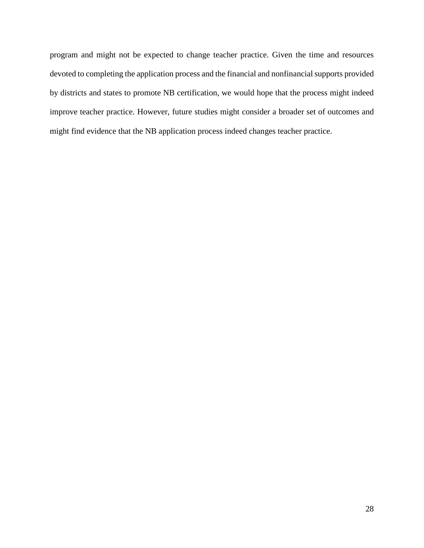program and might not be expected to change teacher practice. Given the time and resources devoted to completing the application process and the financial and nonfinancial supports provided by districts and states to promote NB certification, we would hope that the process might indeed improve teacher practice. However, future studies might consider a broader set of outcomes and might find evidence that the NB application process indeed changes teacher practice.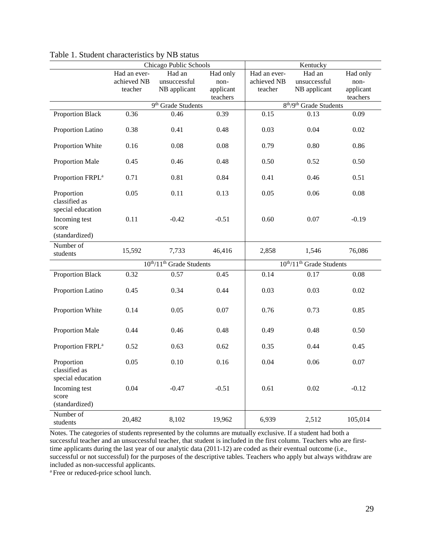|                                                  | Chicago Public Schools           |              |           | Kentucky                                        |                                  |           |  |  |
|--------------------------------------------------|----------------------------------|--------------|-----------|-------------------------------------------------|----------------------------------|-----------|--|--|
|                                                  | Had an ever-                     | Had an       | Had only  | Had an ever-                                    | Had an                           | Had only  |  |  |
|                                                  | achieved NB                      | unsuccessful | non-      | achieved NB                                     | unsuccessful                     | non-      |  |  |
|                                                  | teacher                          | NB applicant | applicant | teacher                                         | NB applicant                     | applicant |  |  |
|                                                  |                                  |              | teachers  |                                                 |                                  | teachers  |  |  |
|                                                  | 9 <sup>th</sup> Grade Students   |              |           | 8 <sup>th</sup> /9 <sup>th</sup> Grade Students |                                  |           |  |  |
| Proportion Black                                 | 0.36                             | 0.46         | 0.39      | 0.15                                            | 0.13                             | 0.09      |  |  |
| Proportion Latino                                | 0.38                             | 0.41         | 0.48      | 0.03                                            | 0.04                             | 0.02      |  |  |
| Proportion White                                 | 0.16                             | 0.08         | 0.08      | 0.79                                            | 0.80                             | 0.86      |  |  |
| Proportion Male                                  | 0.45                             | 0.46         | 0.48      | 0.50                                            | 0.52                             | 0.50      |  |  |
| Proportion FRPL <sup>a</sup>                     | 0.71                             | 0.81         | 0.84      | 0.41                                            | 0.46                             | 0.51      |  |  |
| Proportion<br>classified as<br>special education | 0.05                             | 0.11         | 0.13      | 0.05                                            | 0.06                             | 0.08      |  |  |
| Incoming test<br>score<br>(standardized)         | 0.11                             | $-0.42$      | $-0.51$   | 0.60                                            | 0.07                             | $-0.19$   |  |  |
| Number of<br>students                            | 15,592                           | 7,733        | 46,416    | 2,858                                           | 1,546                            | 76,086    |  |  |
|                                                  | $10^{th}/11^{th}$ Grade Students |              |           |                                                 | $10^{th}/11^{th}$ Grade Students |           |  |  |
| Proportion Black                                 | 0.32                             | 0.57         | 0.45      | 0.14                                            | 0.17                             | 0.08      |  |  |
| Proportion Latino                                | 0.45                             | 0.34         | 0.44      | 0.03                                            | 0.03                             | 0.02      |  |  |
| Proportion White                                 | 0.14                             | 0.05         | 0.07      | 0.76                                            | 0.73                             | 0.85      |  |  |
| Proportion Male                                  | 0.44                             | 0.46         | 0.48      | 0.49                                            | 0.48                             | 0.50      |  |  |
| Proportion FRPL <sup>a</sup>                     | 0.52                             | 0.63         | 0.62      | 0.35                                            | 0.44                             | 0.45      |  |  |
| Proportion<br>classified as<br>special education | 0.05                             | 0.10         | 0.16      | 0.04                                            | 0.06                             | 0.07      |  |  |
| Incoming test<br>score<br>(standardized)         | 0.04                             | $-0.47$      | $-0.51$   | 0.61                                            | 0.02                             | $-0.12$   |  |  |
| Number of<br>students                            | 20,482                           | 8,102        | 19,962    | 6,939                                           | 2,512                            | 105,014   |  |  |

|  |  | Table 1. Student characteristics by NB status |  |  |  |
|--|--|-----------------------------------------------|--|--|--|
|--|--|-----------------------------------------------|--|--|--|

Notes. The categories of students represented by the columns are mutually exclusive. If a student had both a successful teacher and an unsuccessful teacher, that student is included in the first column. Teachers who are firsttime applicants during the last year of our analytic data (2011-12) are coded as their eventual outcome (i.e., successful or not successful) for the purposes of the descriptive tables. Teachers who apply but always withdraw are included as non-successful applicants.

<sup>a</sup> Free or reduced-price school lunch.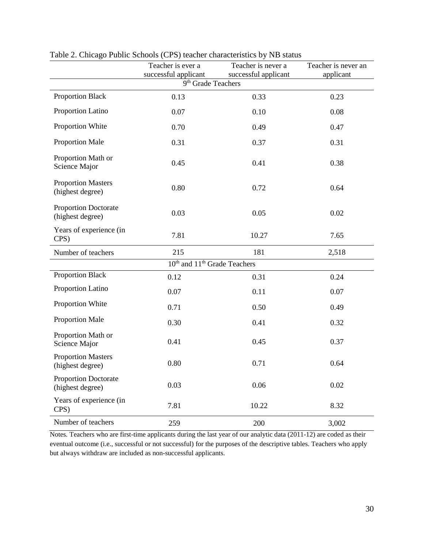|                                                 | Teacher is ever a                                      | Teacher is never a   | Teacher is never an |
|-------------------------------------------------|--------------------------------------------------------|----------------------|---------------------|
|                                                 | successful applicant<br>9 <sup>th</sup> Grade Teachers | successful applicant | applicant           |
| <b>Proportion Black</b>                         | 0.13                                                   | 0.33                 | 0.23                |
| Proportion Latino                               | 0.07                                                   | 0.10                 | 0.08                |
| Proportion White                                | 0.70                                                   | 0.49                 | 0.47                |
| <b>Proportion Male</b>                          | 0.31                                                   | 0.37                 | 0.31                |
| Proportion Math or<br>Science Major             | 0.45                                                   | 0.41                 | 0.38                |
| <b>Proportion Masters</b><br>(highest degree)   | 0.80                                                   | 0.72                 | 0.64                |
| <b>Proportion Doctorate</b><br>(highest degree) | 0.03                                                   | 0.05                 | 0.02                |
| Years of experience (in<br>CPS)                 | 7.81                                                   | 10.27                | 7.65                |
| Number of teachers                              | 215                                                    | 181                  | 2,518               |
|                                                 | 10 <sup>th</sup> and 11 <sup>th</sup> Grade Teachers   |                      |                     |
| <b>Proportion Black</b>                         | 0.12                                                   | 0.31                 | 0.24                |
| Proportion Latino                               | 0.07                                                   | 0.11                 | 0.07                |
| Proportion White                                | 0.71                                                   | 0.50                 | 0.49                |
| <b>Proportion Male</b>                          | 0.30                                                   | 0.41                 | 0.32                |
| Proportion Math or<br>Science Major             | 0.41                                                   | 0.45                 | 0.37                |
| <b>Proportion Masters</b><br>(highest degree)   | 0.80                                                   | 0.71                 | 0.64                |
| <b>Proportion Doctorate</b><br>(highest degree) | 0.03                                                   | 0.06                 | 0.02                |
| Years of experience (in<br>CPS)                 | 7.81                                                   | 10.22                | 8.32                |
| Number of teachers                              | 259                                                    | 200                  | 3,002               |

Table 2. Chicago Public Schools (CPS) teacher characteristics by NB status

Notes. Teachers who are first-time applicants during the last year of our analytic data (2011-12) are coded as their eventual outcome (i.e., successful or not successful) for the purposes of the descriptive tables. Teachers who apply but always withdraw are included as non-successful applicants.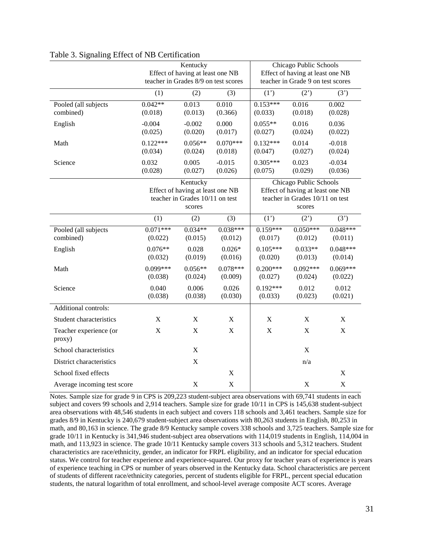|                                   |                                                                                           | Kentucky<br>Effect of having at least one NB |                       | Chicago Public Schools<br>Effect of having at least one NB                                              |                       |                       |  |
|-----------------------------------|-------------------------------------------------------------------------------------------|----------------------------------------------|-----------------------|---------------------------------------------------------------------------------------------------------|-----------------------|-----------------------|--|
|                                   |                                                                                           | teacher in Grades 8/9 on test scores         |                       | teacher in Grade 9 on test scores                                                                       |                       |                       |  |
|                                   | (1)                                                                                       | (2)                                          | (3)                   | (1')                                                                                                    | (2')                  | (3')                  |  |
| Pooled (all subjects<br>combined) | $0.042**$<br>(0.018)                                                                      | 0.013<br>(0.013)                             | 0.010<br>(0.366)      | $0.153***$<br>(0.033)                                                                                   | 0.016<br>(0.018)      | 0.002<br>(0.028)      |  |
| English                           | $-0.004$<br>(0.025)                                                                       | $-0.002$<br>(0.020)                          | 0.000<br>(0.017)      | $0.055**$<br>(0.027)                                                                                    | 0.016<br>(0.024)      | 0.036<br>(0.022)      |  |
| Math                              | $0.122***$<br>(0.034)                                                                     | $0.056**$<br>(0.024)                         | $0.070***$<br>(0.018) | $0.132***$<br>(0.047)                                                                                   | 0.014<br>(0.027)      | $-0.018$<br>(0.024)   |  |
| Science                           | 0.032<br>(0.028)                                                                          | 0.005<br>(0.027)                             | $-0.015$<br>(0.026)   | $0.305***$<br>(0.075)                                                                                   | 0.023<br>(0.029)      | $-0.034$<br>(0.036)   |  |
|                                   | Kentucky<br>Effect of having at least one NB<br>teacher in Grades 10/11 on test<br>scores |                                              |                       | Chicago Public Schools<br>Effect of having at least one NB<br>teacher in Grades 10/11 on test<br>scores |                       |                       |  |
|                                   | (1)                                                                                       | (2)                                          | (3)                   | (1')                                                                                                    | (2')                  | (3')                  |  |
| Pooled (all subjects<br>combined) | $0.071***$<br>(0.022)                                                                     | $0.034**$<br>(0.015)                         | $0.038***$<br>(0.012) | $0.159***$<br>(0.017)                                                                                   | $0.050***$<br>(0.012) | $0.048***$<br>(0.011) |  |
| English                           | $0.076**$<br>(0.032)                                                                      | 0.028<br>(0.019)                             | $0.026*$<br>(0.016)   | $0.105***$<br>(0.020)                                                                                   | $0.033**$<br>(0.013)  | $0.048***$<br>(0.014) |  |
| Math                              | $0.099***$<br>(0.038)                                                                     | $0.056**$<br>(0.024)                         | $0.078***$<br>(0.009) | $0.200***$<br>(0.027)                                                                                   | $0.092***$<br>(0.024) | $0.069***$<br>(0.022) |  |
| Science                           | 0.040<br>(0.038)                                                                          | 0.006<br>(0.038)                             | 0.026<br>(0.030)      | $0.192***$<br>(0.033)                                                                                   | 0.012<br>(0.023)      | 0.012<br>(0.021)      |  |
| Additional controls:              |                                                                                           |                                              |                       |                                                                                                         |                       |                       |  |
| Student characteristics           | X                                                                                         | X                                            | X                     | X                                                                                                       | X                     | X                     |  |
| Teacher experience (or<br>proxy)  | X                                                                                         | $\mathbf X$                                  | $\mathbf X$           | $\mathbf X$                                                                                             | $\mathbf X$           | $\mathbf X$           |  |
| School characteristics            |                                                                                           | $\mathbf X$                                  |                       |                                                                                                         | $\boldsymbol{X}$      |                       |  |
| District characteristics          |                                                                                           | $\mathbf X$                                  |                       |                                                                                                         | n/a                   |                       |  |
| School fixed effects              |                                                                                           |                                              | $\mathbf X$           |                                                                                                         |                       | $\mathbf X$           |  |
| Average incoming test score       |                                                                                           | $\mathbf X$                                  | $\mathbf X$           |                                                                                                         | $\mathbf X$           | $\mathbf X$           |  |

### Table 3. Signaling Effect of NB Certification

Notes. Sample size for grade 9 in CPS is 209,223 student-subject area observations with 69,741 students in each subject and covers 99 schools and 2,914 teachers. Sample size for grade 10/11 in CPS is 145,638 student-subject area observations with 48,546 students in each subject and covers 118 schools and 3,461 teachers. Sample size for grades 8/9 in Kentucky is 240,679 student-subject area observations with 80,263 students in English, 80,253 in math, and 80,163 in science. The grade 8/9 Kentucky sample covers 338 schools and 3,725 teachers. Sample size for grade 10/11 in Kentucky is 341,946 student-subject area observations with 114,019 students in English, 114,004 in math, and 113,923 in science. The grade 10/11 Kentucky sample covers 313 schools and 5,312 teachers. Student characteristics are race/ethnicity, gender, an indicator for FRPL eligibility, and an indicator for special education status. We control for teacher experience and experience-squared. Our proxy for teacher years of experience is years of experience teaching in CPS or number of years observed in the Kentucky data. School characteristics are percent of students of different race/ethnicity categories, percent of students eligible for FRPL, percent special education students, the natural logarithm of total enrollment, and school-level average composite ACT scores. Average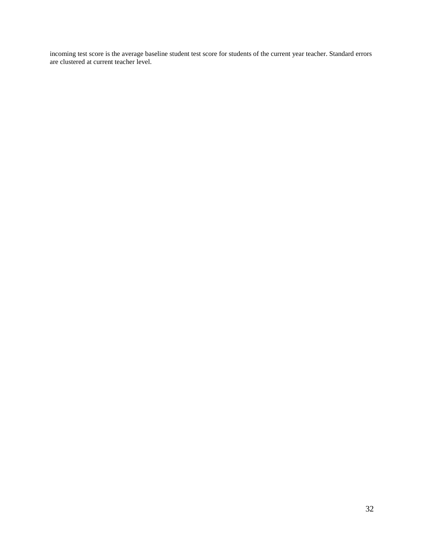incoming test score is the average baseline student test score for students of the current year teacher. Standard errors are clustered at current teacher level.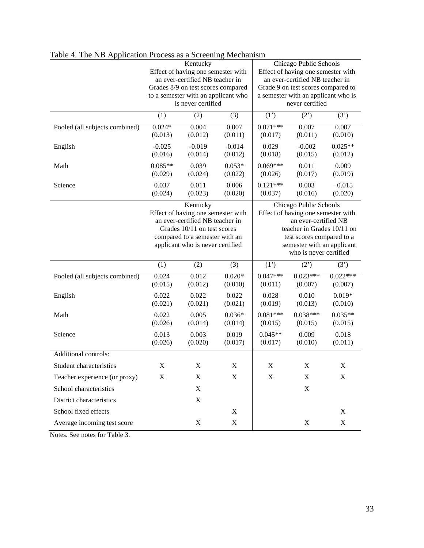|                                |                                                                                                                                                                                        | Kentucky<br>Effect of having one semester with<br>an ever-certified NB teacher in<br>Grades 8/9 on test scores compared<br>to a semester with an applicant who<br>is never certified |                     | Chicago Public Schools<br>Effect of having one semester with<br>an ever-certified NB teacher in<br>Grade 9 on test scores compared to<br>a semester with an applicant who is<br>never certified         |                       |                       |  |
|--------------------------------|----------------------------------------------------------------------------------------------------------------------------------------------------------------------------------------|--------------------------------------------------------------------------------------------------------------------------------------------------------------------------------------|---------------------|---------------------------------------------------------------------------------------------------------------------------------------------------------------------------------------------------------|-----------------------|-----------------------|--|
|                                | (1)                                                                                                                                                                                    | (2)                                                                                                                                                                                  | (3)                 | (1')                                                                                                                                                                                                    | (2')                  | (3')                  |  |
| Pooled (all subjects combined) | $0.024*$<br>(0.013)                                                                                                                                                                    | 0.004<br>(0.012)                                                                                                                                                                     | 0.007<br>(0.011)    | $0.071***$<br>(0.017)                                                                                                                                                                                   | 0.007<br>(0.011)      | 0.007<br>(0.010)      |  |
| English                        | $-0.025$<br>(0.016)                                                                                                                                                                    | $-0.019$<br>(0.014)                                                                                                                                                                  | $-0.014$<br>(0.012) | 0.029<br>(0.018)                                                                                                                                                                                        | $-0.002$<br>(0.015)   | $0.025**$<br>(0.012)  |  |
| Math                           | $0.085**$<br>(0.029)                                                                                                                                                                   | 0.039<br>(0.024)                                                                                                                                                                     | $0.053*$<br>(0.022) | $0.069***$<br>(0.026)                                                                                                                                                                                   | 0.011<br>(0.017)      | 0.009<br>(0.019)      |  |
| Science                        | 0.037<br>(0.024)                                                                                                                                                                       | 0.011<br>(0.023)                                                                                                                                                                     | 0.006<br>(0.020)    | $0.121***$<br>(0.037)                                                                                                                                                                                   | 0.003<br>(0.016)      | $-0.015$<br>(0.020)   |  |
|                                | Kentucky<br>Effect of having one semester with<br>an ever-certified NB teacher in<br>Grades 10/11 on test scores<br>compared to a semester with an<br>applicant who is never certified |                                                                                                                                                                                      |                     | Chicago Public Schools<br>Effect of having one semester with<br>an ever-certified NB<br>teacher in Grades 10/11 on<br>test scores compared to a<br>semester with an applicant<br>who is never certified |                       |                       |  |
|                                | (1)                                                                                                                                                                                    | (2)                                                                                                                                                                                  | (3)                 | (1')                                                                                                                                                                                                    | (2')                  | (3')                  |  |
| Pooled (all subjects combined) | 0.024<br>(0.015)                                                                                                                                                                       | 0.012<br>(0.012)                                                                                                                                                                     | $0.020*$<br>(0.010) | $0.047***$<br>(0.011)                                                                                                                                                                                   | $0.023***$<br>(0.007) | $0.022***$<br>(0.007) |  |
| English                        | 0.022<br>(0.021)                                                                                                                                                                       | 0.022<br>(0.021)                                                                                                                                                                     | 0.022<br>(0.021)    | 0.028<br>(0.019)                                                                                                                                                                                        | 0.010<br>(0.013)      | $0.019*$<br>(0.010)   |  |
| Math                           | 0.022<br>(0.026)                                                                                                                                                                       | 0.005<br>(0.014)                                                                                                                                                                     | $0.036*$<br>(0.014) | $0.081***$<br>(0.015)                                                                                                                                                                                   | $0.038***$<br>(0.015) | $0.035**$<br>(0.015)  |  |
| Science                        | 0.013<br>(0.026)                                                                                                                                                                       | 0.003<br>(0.020)                                                                                                                                                                     | 0.019<br>(0.017)    | $0.045**$<br>(0.017)                                                                                                                                                                                    | 0.009<br>(0.010)      | 0.018<br>(0.011)      |  |
| Additional controls:           |                                                                                                                                                                                        |                                                                                                                                                                                      |                     |                                                                                                                                                                                                         |                       |                       |  |
| Student characteristics        | X                                                                                                                                                                                      | X                                                                                                                                                                                    | X                   | X                                                                                                                                                                                                       | X                     | X                     |  |
| Teacher experience (or proxy)  | X                                                                                                                                                                                      | X                                                                                                                                                                                    | $\mathbf X$         | X                                                                                                                                                                                                       | X                     | $\mathbf X$           |  |
| School characteristics         |                                                                                                                                                                                        | $\mathbf X$                                                                                                                                                                          |                     |                                                                                                                                                                                                         | $\mathbf X$           |                       |  |
| District characteristics       |                                                                                                                                                                                        | $\mathbf X$                                                                                                                                                                          |                     |                                                                                                                                                                                                         |                       |                       |  |
| School fixed effects           |                                                                                                                                                                                        |                                                                                                                                                                                      | X                   |                                                                                                                                                                                                         |                       | $\mathbf X$           |  |
| Average incoming test score    |                                                                                                                                                                                        | X                                                                                                                                                                                    | $\mathbf X$         |                                                                                                                                                                                                         | X                     | X                     |  |

Table 4. The NB Application Process as a Screening Mechanism

Notes. See notes for Table 3.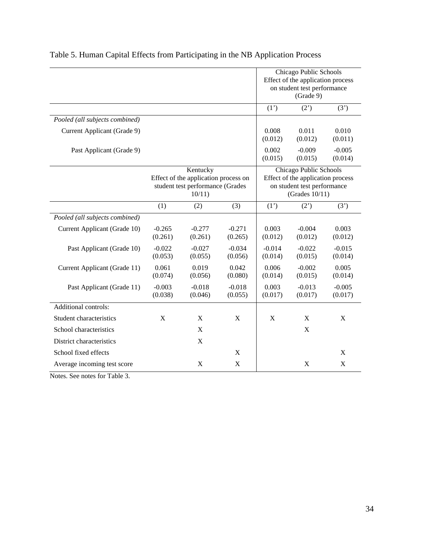|                                |                                                                                               |                           |                     | Chicago Public Schools<br>Effect of the application process<br>on student test performance<br>(Grade 9) |                                                                                                                 |                     |  |
|--------------------------------|-----------------------------------------------------------------------------------------------|---------------------------|---------------------|---------------------------------------------------------------------------------------------------------|-----------------------------------------------------------------------------------------------------------------|---------------------|--|
|                                |                                                                                               |                           |                     | (1')                                                                                                    | (2')                                                                                                            | (3')                |  |
| Pooled (all subjects combined) |                                                                                               |                           |                     |                                                                                                         |                                                                                                                 |                     |  |
| Current Applicant (Grade 9)    |                                                                                               |                           |                     | 0.008<br>(0.012)                                                                                        | 0.011<br>(0.012)                                                                                                | 0.010<br>(0.011)    |  |
| Past Applicant (Grade 9)       |                                                                                               |                           |                     | 0.002<br>(0.015)                                                                                        | $-0.009$<br>(0.015)                                                                                             | $-0.005$<br>(0.014) |  |
|                                | Kentucky<br>Effect of the application process on<br>student test performance (Grades<br>10/11 |                           |                     |                                                                                                         | Chicago Public Schools<br>Effect of the application process<br>on student test performance<br>(Grades $10/11$ ) |                     |  |
|                                | (1)                                                                                           | (2)                       | (3)                 | (1')                                                                                                    | (2')                                                                                                            | (3')                |  |
| Pooled (all subjects combined) |                                                                                               |                           |                     |                                                                                                         |                                                                                                                 |                     |  |
| Current Applicant (Grade 10)   | $-0.265$<br>(0.261)                                                                           | $-0.277$<br>(0.261)       | $-0.271$<br>(0.265) | 0.003<br>(0.012)                                                                                        | $-0.004$<br>(0.012)                                                                                             | 0.003<br>(0.012)    |  |
| Past Applicant (Grade 10)      | $-0.022$<br>(0.053)                                                                           | $-0.027$<br>(0.055)       | $-0.034$<br>(0.056) | $-0.014$<br>(0.014)                                                                                     | $-0.022$<br>(0.015)                                                                                             | $-0.015$<br>(0.014) |  |
| Current Applicant (Grade 11)   | 0.061<br>(0.074)                                                                              | 0.019<br>(0.056)          | 0.042<br>(0.080)    | 0.006<br>(0.014)                                                                                        | $-0.002$<br>(0.015)                                                                                             | 0.005<br>(0.014)    |  |
| Past Applicant (Grade 11)      | $-0.003$<br>(0.038)                                                                           | $-0.018$<br>(0.046)       | $-0.018$<br>(0.055) | 0.003<br>(0.017)                                                                                        | $-0.013$<br>(0.017)                                                                                             | $-0.005$<br>(0.017) |  |
| Additional controls:           |                                                                                               |                           |                     |                                                                                                         |                                                                                                                 |                     |  |
| Student characteristics        | X                                                                                             | X                         | X                   | X                                                                                                       | X                                                                                                               | X                   |  |
| School characteristics         |                                                                                               | $\boldsymbol{\mathrm{X}}$ |                     |                                                                                                         | X                                                                                                               |                     |  |
| District characteristics       |                                                                                               | $\boldsymbol{\mathrm{X}}$ |                     |                                                                                                         |                                                                                                                 |                     |  |
| School fixed effects           |                                                                                               |                           | $\mathbf X$         |                                                                                                         |                                                                                                                 | X                   |  |
| Average incoming test score    |                                                                                               | $\mathbf X$               | X                   |                                                                                                         | X                                                                                                               | X                   |  |

# Table 5. Human Capital Effects from Participating in the NB Application Process

Notes. See notes for Table 3.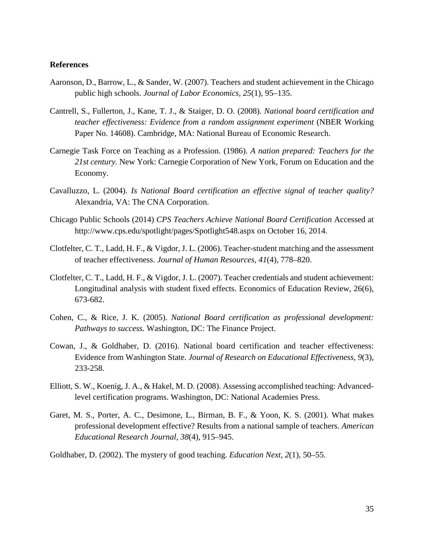# **References**

- Aaronson, D., Barrow, L., & Sander, W. (2007). Teachers and student achievement in the Chicago public high schools. *Journal of Labor Economics, 25*(1), 95–135.
- Cantrell, S., Fullerton, J., Kane, T. J., & Staiger, D. O. (2008). *National board certification and teacher effectiveness: Evidence from a random assignment experiment* (NBER Working Paper No. 14608). Cambridge, MA: National Bureau of Economic Research.
- Carnegie Task Force on Teaching as a Profession. (1986). *A nation prepared: Teachers for the 21st century.* New York: Carnegie Corporation of New York, Forum on Education and the Economy.
- Cavalluzzo, L. (2004). *Is National Board certification an effective signal of teacher quality?* Alexandria, VA: The CNA Corporation.
- Chicago Public Schools (2014) *CPS Teachers Achieve National Board Certification* Accessed at http://www.cps.edu/spotlight/pages/Spotlight548.aspx on October 16, 2014.
- Clotfelter, C. T., Ladd, H. F., & Vigdor, J. L. (2006). Teacher-student matching and the assessment of teacher effectiveness. *Journal of Human Resources, 41*(4), 778–820.
- Clotfelter, C. T., Ladd, H. F., & Vigdor, J. L. (2007). Teacher credentials and student achievement: Longitudinal analysis with student fixed effects. Economics of Education Review, 26(6), 673-682.
- Cohen, C., & Rice, J. K. (2005). *National Board certification as professional development: Pathways to success.* Washington, DC: The Finance Project.
- Cowan, J., & Goldhaber, D. (2016). National board certification and teacher effectiveness: Evidence from Washington State. *Journal of Research on Educational Effectiveness*, *9*(3), 233-258.
- Elliott, S. W., Koenig, J. A., & Hakel, M. D. (2008). Assessing accomplished teaching: Advancedlevel certification programs. Washington, DC: National Academies Press.
- Garet, M. S., Porter, A. C., Desimone, L., Birman, B. F., & Yoon, K. S. (2001). What makes professional development effective? Results from a national sample of teachers. *American Educational Research Journal, 38*(4), 915–945.
- Goldhaber, D. (2002). The mystery of good teaching. *Education Next, 2*(1), 50–55.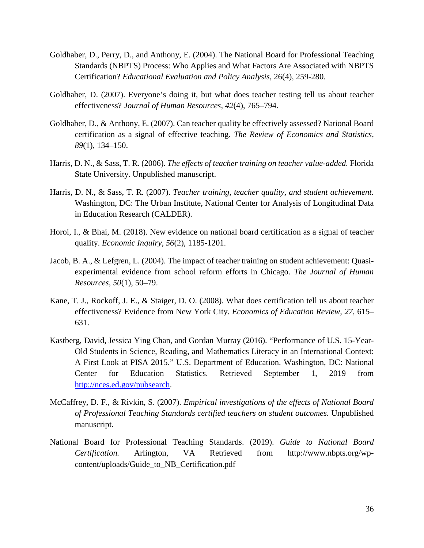- Goldhaber, D., Perry, D., and Anthony, E. (2004). The National Board for Professional Teaching Standards (NBPTS) Process: Who Applies and What Factors Are Associated with NBPTS Certification? *Educational Evaluation and Policy Analysis*, 26(4), 259-280.
- Goldhaber, D. (2007). Everyone's doing it, but what does teacher testing tell us about teacher effectiveness? *Journal of Human Resources, 42*(4), 765–794.
- Goldhaber, D., & Anthony, E. (2007). Can teacher quality be effectively assessed? National Board certification as a signal of effective teaching. *The Review of Economics and Statistics, 89*(1), 134–150.
- Harris, D. N., & Sass, T. R. (2006). *The effects of teacher training on teacher value-added.* Florida State University. Unpublished manuscript.
- Harris, D. N., & Sass, T. R. (2007). *Teacher training, teacher quality, and student achievement.* Washington, DC: The Urban Institute, National Center for Analysis of Longitudinal Data in Education Research (CALDER).
- Horoi, I., & Bhai, M. (2018). New evidence on national board certification as a signal of teacher quality. *Economic Inquiry*, *56*(2), 1185-1201.
- Jacob, B. A., & Lefgren, L. (2004). The impact of teacher training on student achievement: Quasiexperimental evidence from school reform efforts in Chicago. *The Journal of Human Resources, 50*(1), 50–79.
- Kane, T. J., Rockoff, J. E., & Staiger, D. O. (2008). What does certification tell us about teacher effectiveness? Evidence from New York City. *Economics of Education Review, 27,* 615– 631.
- Kastberg, David, Jessica Ying Chan, and Gordan Murray (2016). "Performance of U.S. 15-Year-Old Students in Science, Reading, and Mathematics Literacy in an International Context: A First Look at PISA 2015." U.S. Department of Education. Washington, DC: National Center for Education Statistics. Retrieved September 1, 2019 from [http://nces.ed.gov/pubsearch.](http://nces.ed.gov/pubsearch)
- McCaffrey, D. F., & Rivkin, S. (2007). *Empirical investigations of the effects of National Board of Professional Teaching Standards certified teachers on student outcomes.* Unpublished manuscript.
- National Board for Professional Teaching Standards. (2019). *Guide to National Board Certification.* Arlington, VA Retrieved from http://www.nbpts.org/wpcontent/uploads/Guide\_to\_NB\_Certification.pdf